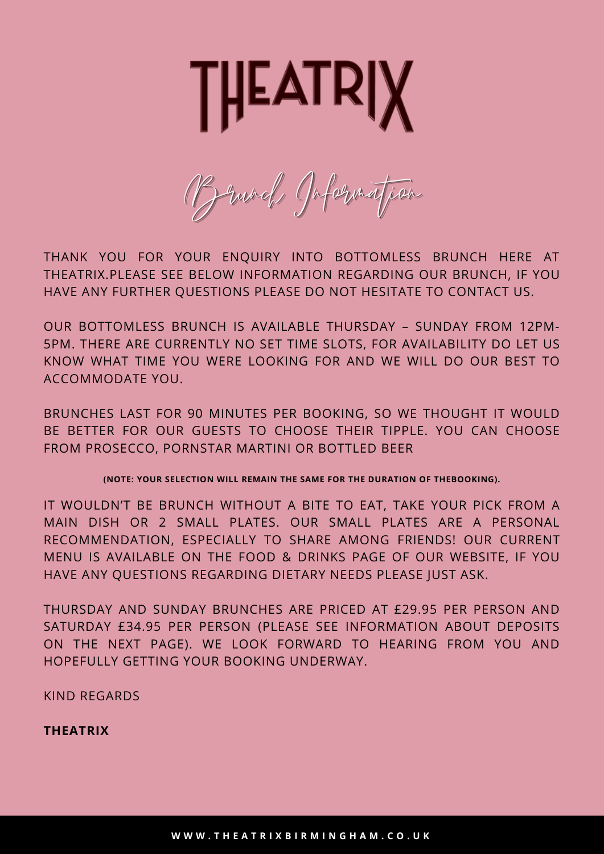

Brunch Information

THANK YOU FOR YOUR ENQUIRY INTO BOTTOMLESS BRUNCH HERE AT THEATRIX.PLEASE SEE BELOW INFORMATION REGARDING OUR BRUNCH, IF YOU HAVE ANY FURTHER QUESTIONS PLEASE DO NOT HESITATE TO CONTACT US.

OUR BOTTOMLESS BRUNCH IS AVAILABLE THURSDAY – SUNDAY FROM 12PM-5PM. THERE ARE CURRENTLY NO SET TIME SLOTS, FOR AVAILABILITY DO LET US KNOW WHAT TIME YOU WERE LOOKING FOR AND WE WILL DO OUR BEST TO ACCOMMODATE YOU.

BRUNCHES LAST FOR 90 MINUTES PER BOOKING, SO WE THOUGHT IT WOULD BE BETTER FOR OUR GUESTS TO CHOOSE THEIR TIPPLE. YOU CAN CHOOSE FROM PROSECCO, PORNSTAR MARTINI OR BOTTLED BEER

**(NOTE: YOUR SELECTION WILL REMAIN THE SAME FOR THE DURATION OF THEBOOKING).**

IT WOULDN'T BE BRUNCH WITHOUT A BITE TO EAT, TAKE YOUR PICK FROM A MAIN DISH OR 2 SMALL PLATES. OUR SMALL PLATES ARE A PERSONAL RECOMMENDATION, ESPECIALLY TO SHARE AMONG FRIENDS! OUR CURRENT MENU IS AVAILABLE ON THE FOOD & DRINKS PAGE OF OUR WEBSITE, IF YOU HAVE ANY QUESTIONS REGARDING DIETARY NEEDS PLEASE JUST ASK.

THURSDAY AND SUNDAY BRUNCHES ARE PRICED AT £29.95 PER PERSON AND SATURDAY £34.95 PER PERSON (PLEASE SEE INFORMATION ABOUT DEPOSITS ON THE NEXT PAGE). WE LOOK FORWARD TO HEARING FROM YOU AND HOPEFULLY GETTING YOUR BOOKING UNDERWAY.

KIND REGARDS

**THEATRIX**